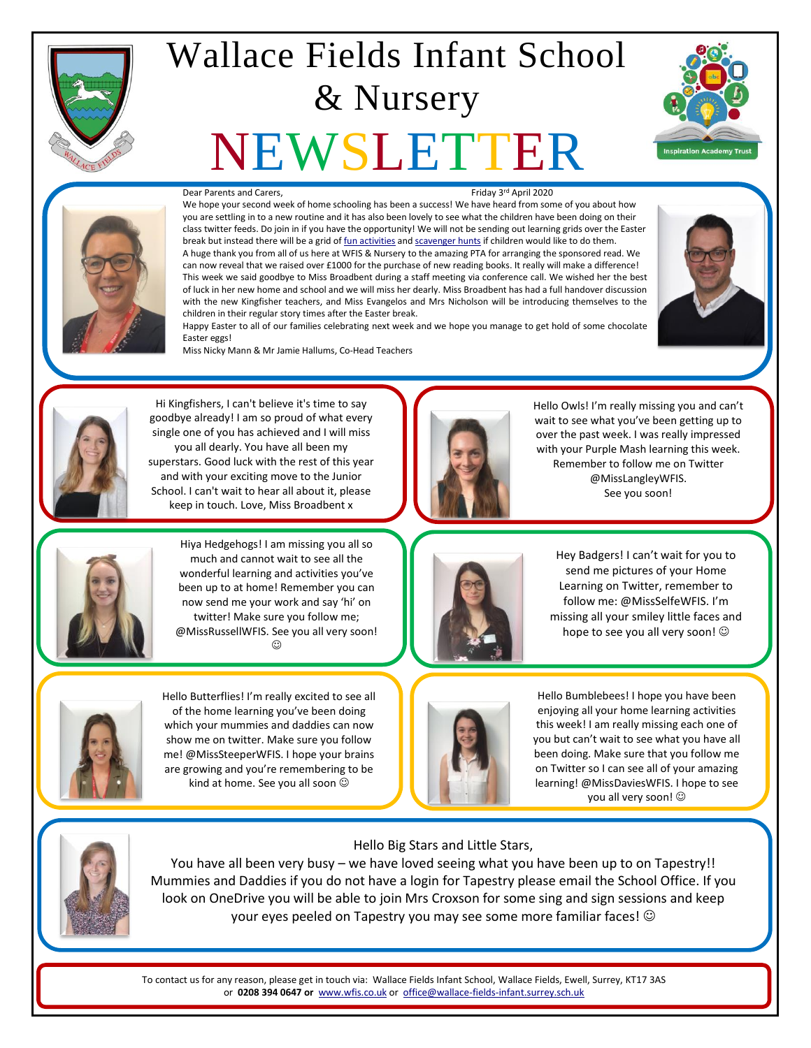

## Wallace Fields Infant School & Nursery

# NEWSLETTER





#### Dear Parents and Carers,

#### Friday 3rd April 2020

We hope your second week of home schooling has been a success! We have heard from some of you about how you are settling in to a new routine and it has also been lovely to see what the children have been doing on their class twitter feeds. Do join in if you have the opportunity! We will not be sending out learning grids over the Easter break but instead there will be a grid o[f fun activities](http://fluencycontent2-schoolwebsite.netdna-ssl.com/FileCluster/WallaceFields/MainFolder/documents/Newsletters/Attachments-2019-20/030420/Easter-Home-Activities.pdf) an[d scavenger hunts](http://fluencycontent2-schoolwebsite.netdna-ssl.com/FileCluster/WallaceFields/MainFolder/documents/Newsletters/Attachments-2019-20/030420/Scavenger-Hunt.pdf) if children would like to do them. A huge thank you from all of us here at WFIS & Nursery to the amazing PTA for arranging the sponsored read. We can now reveal that we raised over £1000 for the purchase of new reading books. It really will make a difference! This week we said goodbye to Miss Broadbent during a staff meeting via conference call. We wished her the best of luck in her new home and school and we will miss her dearly. Miss Broadbent has had a full handover discussion with the new Kingfisher teachers, and Miss Evangelos and Mrs Nicholson will be introducing themselves to the children in their regular story times after the Easter break.



Happy Easter to all of our families celebrating next week and we hope you manage to get hold of some chocolate Easter eggs!

Miss Nicky Mann & Mr Jamie Hallums, Co-Head Teachers



Hi Kingfishers, I can't believe it's time to say goodbye already! I am so proud of what every single one of you has achieved and I will miss you all dearly. You have all been my superstars. Good luck with the rest of this year and with your exciting move to the Junior School. I can't wait to hear all about it, please keep in touch. Love, Miss Broadbent x



Hello Owls! I'm really missing you and can't wait to see what you've been getting up to over the past week. I was really impressed with your Purple Mash learning this week. Remember to follow me on Twitter @MissLangleyWFIS. See you soon!



Hiya Hedgehogs! I am missing you all so much and cannot wait to see all the wonderful learning and activities you've been up to at home! Remember you can now send me your work and say 'hi' on twitter! Make sure you follow me; @MissRussellWFIS. See you all very soon! ⊙



Hey Badgers! I can't wait for you to send me pictures of your Home Learning on Twitter, remember to follow me: @MissSelfeWFIS. I'm missing all your smiley little faces and hope to see you all very soon!  $\odot$ 



Hello Butterflies! I'm really excited to see all of the home learning you've been doing which your mummies and daddies can now show me on twitter. Make sure you follow me! @MissSteeperWFIS. I hope your brains are growing and you're remembering to be kind at home. See you all soon  $\odot$ 



Hello Bumblebees! I hope you have been enjoying all your home learning activities this week! I am really missing each one of you but can't wait to see what you have all been doing. Make sure that you follow me on Twitter so I can see all of your amazing learning! @MissDaviesWFIS. I hope to see you all very soon!



Hello Big Stars and Little Stars,

You have all been very busy – we have loved seeing what you have been up to on Tapestry!! Mummies and Daddies if you do not have a login for Tapestry please email the School Office. If you look on OneDrive you will be able to join Mrs Croxson for some sing and sign sessions and keep your eyes peeled on Tapestry you may see some more familiar faces!

To contact us for any reason, please get in touch via: Wallace Fields Infant School, Wallace Fields, Ewell, Surrey, KT17 3AS or **0208 394 0647 or** [www.wfis.co.uk](http://www.wfis.co.uk/) or [office@wallace-fields-infant.surrey.sch.uk](mailto:office@wallace-fields-infant.surrey.sch.uk)